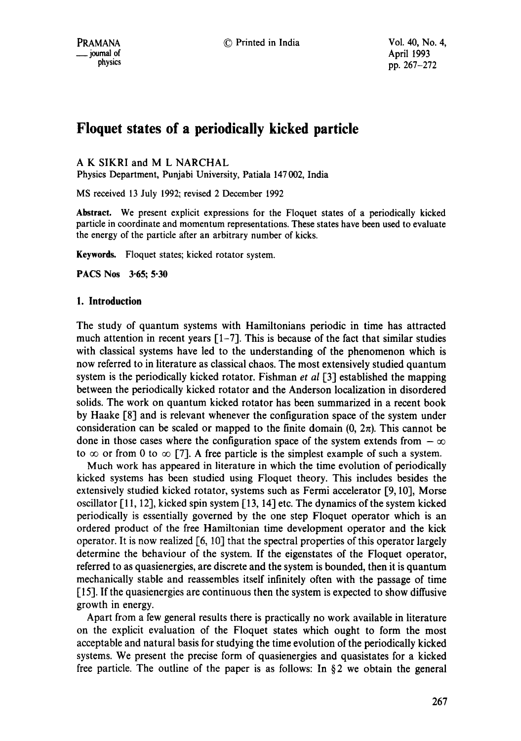# **Floquet states of a periodically kicked particle**

A K SIKRI and M L NARCHAL

Physics Department, Punjabi University, Patiala 147002, India

MS received 13 July 1992; revised 2 December 1992

**Abstract.** We present explicit expressions for the Floquet states of a periodically kicked particle in coordinate and momentum representations. These states have been used to evaluate the energy of the particle after an arbitrary number of kicks.

**Keywords.** Floquet states; kicked rotator system.

**PACS Nos 3"65; 5"30** 

#### **1. Introduction**

The study of quantum systems with Hamiltonians periodic in time has attracted much attention in recent years  $[1-7]$ . This is because of the fact that similar studies with classical systems have led to the understanding of the phenomenon which is now referred to in literature as classical chaos. The most extensively studied quantum system is the periodically kicked rotator. Fishman *et al* [3] established the mapping between the periodically kicked rotator and the Anderson localization in disordered solids. The work on quantum kicked rotator has been summarized in a recent book by Haake [8] and is relevant whenever the configuration space of the system under consideration can be scaled or mapped to the finite domain  $(0, 2\pi)$ . This cannot be done in those cases where the configuration space of the system extends from  $-\infty$ to  $\infty$  or from 0 to  $\infty$  [7]. A free particle is the simplest example of such a system.

Much work has appeared in literature in which the time evolution of periodically kicked systems has been studied using Floquet theory. This includes besides the extensively studied kicked rotator, systems such as Fermi accelerator [9, 10], Morse oscillator  $\lceil 11, 12 \rceil$ , kicked spin system  $\lceil 13, 14 \rceil$  etc. The dynamics of the system kicked periodically is essentially governed by the one step Floquet operator which is an ordered product of the free Hamiltonian time development operator and the kick operator. It is now realized [6, 10] that the spectral properties of this operator largely determine the behaviour of the system. If the eigenstates of the Floquet operator, referred to as quasienergies, are discrete and the system is bounded, then it is quantum mechanically stable and reassembles itself infinitely often with the passage of time [15]. If the quasienergies are continuous then the system is expected to show diffusive growth in energy.

Apart from a few general results there is practically no work available in literature on the explicit evaluation of the Floquet states which ought to form the most acceptable and natural basis for studying the time evolution of the periodically kicked systems. We present the precise form of quasienergies and quasistates for a kicked free particle. The outline of the paper is as follows: In § 2 we obtain the general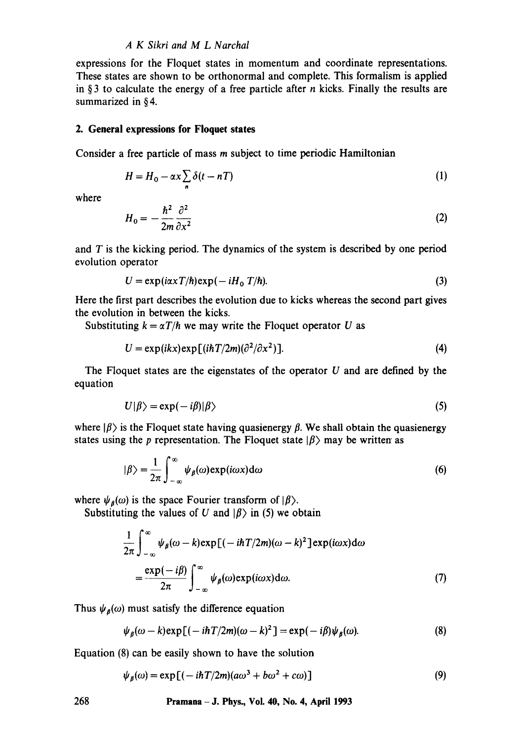#### *A K Sikri and M L Narchal*

expressions for the Floquet states in momentum and coordinate representations. These states are shown to be orthonormal and complete. This formalism is applied in § 3 to calculate the energy of a free particle after  $n$  kicks. Finally the results are summarized in § 4.

#### **2. General expressions for Floquet states**

Consider a free particle of mass m subject to time periodic Hamiltonian

$$
H = H_0 - \alpha x \sum_{n} \delta(t - nT) \tag{1}
$$

where

$$
H_0 = -\frac{\hbar^2}{2m} \frac{\partial^2}{\partial x^2}
$$
 (2)

and  $T$  is the kicking period. The dynamics of the system is described by one period evolution operator

$$
U = \exp(i\alpha x T/\hbar) \exp(-iH_0 T/\hbar).
$$
 (3)

Here the first part describes the evolution due to kicks whereas the second part gives the evolution in between the kicks.

Substituting  $k = \alpha T/h$  we may write the Floquet operator U as

$$
U = \exp(ikx) \exp[(i\hbar T/2m)(\partial^2/\partial x^2)].
$$
\n(4)

The Floquet states are the eigenstates of the operator  $U$  and are defined by the equation

$$
U|\beta\rangle = \exp(-i\beta)|\beta\rangle \tag{5}
$$

where  $|\beta\rangle$  is the Floquet state having quasienergy  $\beta$ . We shall obtain the quasienergy states using the p representation. The Floquet state  $|\beta\rangle$  may be written as

$$
|\beta\rangle = \frac{1}{2\pi} \int_{-\infty}^{\infty} \psi_{\beta}(\omega) \exp(i\omega x) d\omega
$$
 (6)

where  $\psi_{\beta}(\omega)$  is the space Fourier transform of  $|\beta\rangle$ .

Substituting the values of U and  $|\beta\rangle$  in (5) we obtain

$$
\frac{1}{2\pi} \int_{-\infty}^{\infty} \psi_{\beta}(\omega - k) \exp[(-i\hbar T/2m)(\omega - k)^{2}] \exp(i\omega x) d\omega \n= \frac{\exp(-i\beta)}{2\pi} \int_{-\infty}^{\infty} \psi_{\beta}(\omega) \exp(i\omega x) d\omega.
$$
\n(7)

Thus  $\psi_{\beta}(\omega)$  must satisfy the difference equation

$$
\psi_{\beta}(\omega - k) \exp\left[(-i\hbar T/2m)(\omega - k)^2\right] = \exp(-i\beta)\psi_{\beta}(\omega). \tag{8}
$$

Equation (8) can be easily shown to have the solution

$$
\psi_{\beta}(\omega) = \exp\left[(-i\hbar T/2m)(a\omega^3 + b\omega^2 + c\omega)\right]
$$
\n(9)

### **268 Pramana - J. Phys., VoL 40, No. 4, April 1993**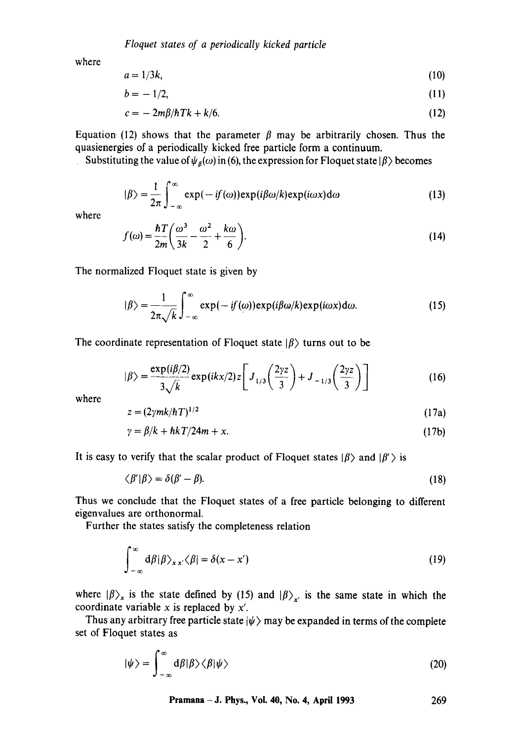*Floquet states of a periodically kicked particle* 

where

$$
a = 1/3k, \tag{10}
$$

$$
b = -1/2, \tag{11}
$$

$$
c = -2m\beta/\hbar T k + k/6. \tag{12}
$$

Equation (12) shows that the parameter  $\beta$  may be arbitrarily chosen. Thus the quasienergies of a periodically kicked free particle form a continuum.

Substituting the value of  $\psi_{\beta}(\omega)$  in (6), the expression for Floquet state  $|\beta\rangle$  becomes

$$
|\beta\rangle = \frac{1}{2\pi} \int_{-\infty}^{\infty} \exp(-if(\omega)) \exp(i\beta\omega/k) \exp(i\omega x) d\omega
$$
 (13)

where

$$
f(\omega) = \frac{\hbar T}{2m} \left( \frac{\omega^3}{3k} - \frac{\omega^2}{2} + \frac{k\omega}{6} \right). \tag{14}
$$

The normalized Floquet state is given by

$$
|\beta\rangle = \frac{1}{2\pi\sqrt{k}} \int_{-\infty}^{\infty} \exp(-if(\omega)) \exp(i\beta\omega/k) \exp(i\omega x) d\omega.
$$
 (15)

The coordinate representation of Floquet state  $|\beta\rangle$  turns out to be

$$
|\beta\rangle = \frac{\exp(i\beta/2)}{3\sqrt{k}} \exp(ikx/2) z \left[ J_{1/3} \left( \frac{2yz}{3} \right) + J_{-1/3} \left( \frac{2yz}{3} \right) \right]
$$
(16)

where

$$
z = (2\gamma mk/\hbar T)^{1/2} \tag{17a}
$$

$$
\gamma = \beta/k + \hbar k / 24m + x. \tag{17b}
$$

It is easy to verify that the scalar product of Floquet states  $|\beta\rangle$  and  $|\beta'\rangle$  is

$$
\langle \beta' | \beta \rangle = \delta(\beta' - \beta). \tag{18}
$$

Thus we conclude that the Floquet states of a free particle belonging to different eigenvalues are orthonormal.

Further the states satisfy the completeness relation

$$
\int_{-\infty}^{\infty} d\beta |\beta\rangle_{xx'} \langle \beta| = \delta(x - x')
$$
 (19)

where  $|\beta\rangle_x$  is the state defined by (15) and  $|\beta\rangle_x$  is the same state in which the coordinate variable x is replaced by *x'.* 

Thus any arbitrary free particle state  $|\psi\rangle$  may be expanded in terms of the complete set of Floquet states as

$$
|\psi\rangle = \int_{-\infty}^{\infty} d\beta |\beta\rangle \langle \beta | \psi \rangle
$$
 (20)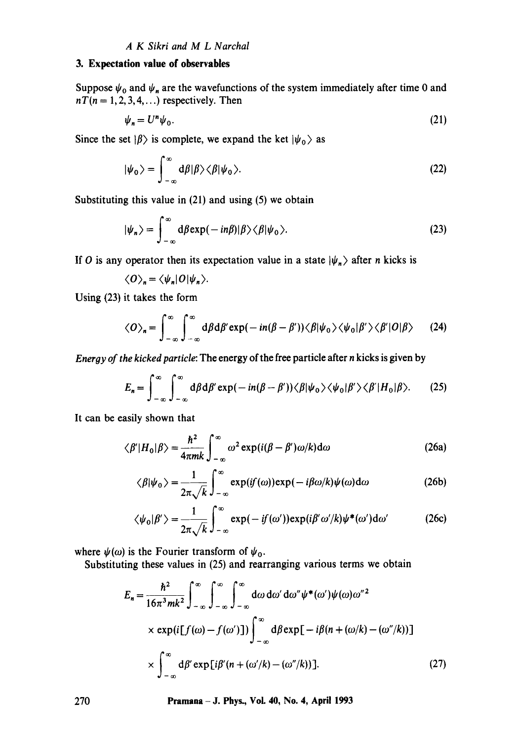### *A K Sikri and M L Narchal*

#### **3. Expectation value of observables**

Suppose  $\psi_0$  and  $\psi_n$  are the wavefunctions of the system immediately after time 0 and  $nT(n = 1, 2, 3, 4, ...)$  respectively. Then

$$
\psi_n = U^n \psi_0. \tag{21}
$$

Since the set  $|\beta\rangle$  is complete, we expand the ket  $|\psi_0\rangle$  as

$$
|\psi_0\rangle = \int_{-\infty}^{\infty} d\beta |\beta\rangle \langle \beta |\psi_0\rangle.
$$
 (22)

Substituting this value in (21) and using (5) we obtain

$$
|\psi_n\rangle = \int_{-\infty}^{\infty} d\beta \exp(-in\beta)|\beta\rangle \langle \beta|\psi_0\rangle.
$$
 (23)

If O is any operator then its expectation value in a state  $|\psi_n\rangle$  after n kicks is

$$
\langle O\rangle_n = \langle \psi_n|O|\psi_n\rangle.
$$

Using (23) it takes the form

$$
\langle O \rangle_n = \int_{-\infty}^{\infty} \int_{-\infty}^{\infty} d\beta d\beta' \exp(-in(\beta - \beta')) \langle \beta | \psi_0 \rangle \langle \psi_0 | \beta' \rangle \langle \beta' | O | \beta \rangle \qquad (24)
$$

*Energy of the kicked particle:* The energy of the free particle after n kicks is given by

$$
E_n = \int_{-\infty}^{\infty} \int_{-\infty}^{\infty} d\beta d\beta' \exp(-in(\beta - \beta')) \langle \beta | \psi_0 \rangle \langle \psi_0 | \beta' \rangle \langle \beta' | H_0 | \beta \rangle. \tag{25}
$$

It can be easily shown that

$$
\langle \beta' | H_0 | \beta \rangle = \frac{\hbar^2}{4\pi mk} \int_{-\infty}^{\infty} \omega^2 \exp(i(\beta - \beta')\omega/k) d\omega \tag{26a}
$$

$$
\langle \beta | \psi_0 \rangle = \frac{1}{2\pi \sqrt{k}} \int_{-\infty}^{\infty} \exp(if(\omega)) \exp(-i\beta \omega/k) \psi(\omega) d\omega \tag{26b}
$$

$$
\langle \psi_0 | \beta' \rangle = \frac{1}{2\pi \sqrt{k}} \int_{-\infty}^{\infty} \exp(-if(\omega')) \exp(i\beta' \omega'/k) \psi^*(\omega') d\omega' \tag{26c}
$$

where  $\psi(\omega)$  is the Fourier transform of  $\psi_0$ .

Substituting these values in (25) and rearranging various terms we obtain

$$
E_n = \frac{\hbar^2}{16\pi^3 mk^2} \int_{-\infty}^{\infty} \int_{-\infty}^{\infty} \int_{-\infty}^{\infty} d\omega \, d\omega' \, d\omega'' \psi^*(\omega') \psi(\omega) \omega''^2
$$
  
×  $\exp\left(i[f(\omega) - f(\omega')\right]) \int_{-\infty}^{\infty} d\beta \exp\left[-i\beta(n + (\omega/k) - (\omega''/k))\right]$   
×  $\int_{-\infty}^{\infty} d\beta' \exp[i\beta'(n + (\omega'/k) - (\omega''/k))].$  (27)

**270 Pramana- J. Phys., Vol. 40, No. 4, April 1993**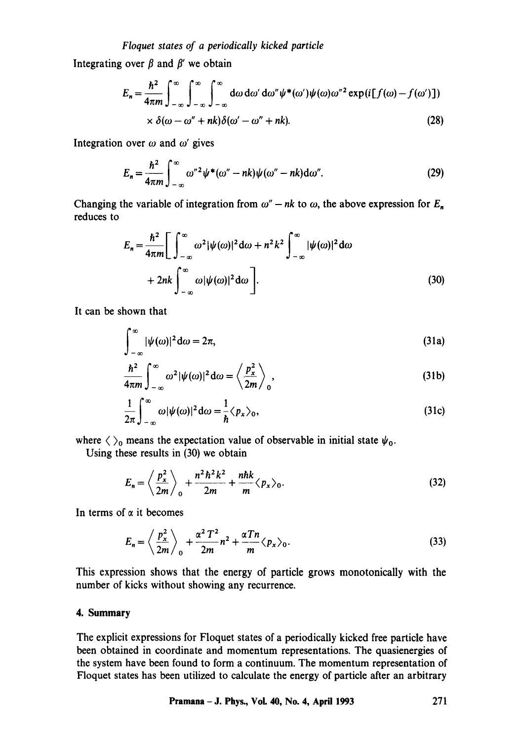## *Fioquet states of a periodically kicked particle*

Integrating over  $\beta$  and  $\beta'$  we obtain

$$
E_n = \frac{\hbar^2}{4\pi m} \int_{-\infty}^{\infty} \int_{-\infty}^{\infty} \int_{-\infty}^{\infty} d\omega \, d\omega' \, d\omega'' \psi^*(\omega') \psi(\omega) \omega''^2 \exp(i[f(\omega) - f(\omega')])
$$
  
 
$$
\times \delta(\omega - \omega'' + nk) \delta(\omega' - \omega'' + nk). \tag{28}
$$

Integration over  $\omega$  and  $\omega'$  gives

$$
E_n = \frac{\hbar^2}{4\pi m} \int_{-\infty}^{\infty} \omega^{n/2} \psi^*(\omega^n - nk) \psi(\omega^n - nk) d\omega^n.
$$
 (29)

Changing the variable of integration from  $\omega'' - nk$  to  $\omega$ , the above expression for  $E_n$ reduces to

$$
E_n = \frac{\hbar^2}{4\pi m} \Bigg[ \int_{-\infty}^{\infty} \omega^2 |\psi(\omega)|^2 d\omega + n^2 k^2 \int_{-\infty}^{\infty} |\psi(\omega)|^2 d\omega + 2nk \int_{-\infty}^{\infty} \omega |\psi(\omega)|^2 d\omega \Bigg].
$$
\n(30)

It can be shown that

 $\overline{\phantom{a}}$ 

$$
\int_{-\infty}^{\infty} |\psi(\omega)|^2 d\omega = 2\pi, \tag{31a}
$$

$$
\frac{\hbar^2}{4\pi m}\int_{-\infty}^{\infty}\omega^2|\psi(\omega)|^2\,\mathrm{d}\omega=\left\langle\frac{p_x^2}{2m}\right\rangle_0,\tag{31b}
$$

$$
\frac{1}{2\pi} \int_{-\infty}^{\infty} \omega |\psi(\omega)|^2 d\omega = \frac{1}{\hbar} \langle p_x \rangle_0, \tag{31c}
$$

where  $\langle \rangle_0$  means the expectation value of observable in initial state  $\psi_0$ .

Using these results in (30) we obtain

$$
E_n = \left\langle \frac{p_x^2}{2m} \right\rangle_0 + \frac{n^2 \hbar^2 k^2}{2m} + \frac{n \hbar k}{m} \langle p_x \rangle_0.
$$
 (32)

In terms of  $\alpha$  it becomes

$$
E_n = \left\langle \frac{p_x^2}{2m} \right\rangle_0 + \frac{\alpha^2 T^2}{2m} n^2 + \frac{\alpha T n}{m} \langle p_x \rangle_0.
$$
 (33)

This expression shows that the energy of particle grows monotonically with the number of kicks without showing any recurrence.

### **4. Summary**

The explicit expressions for Floquet states of a periodically kicked free particle have been obtained in coordinate and momentum representations. The quasienergies of the system have been found to form a continuum. The momentum representation of Floquet states has been utilized to calculate the energy of particle after an arbitrary